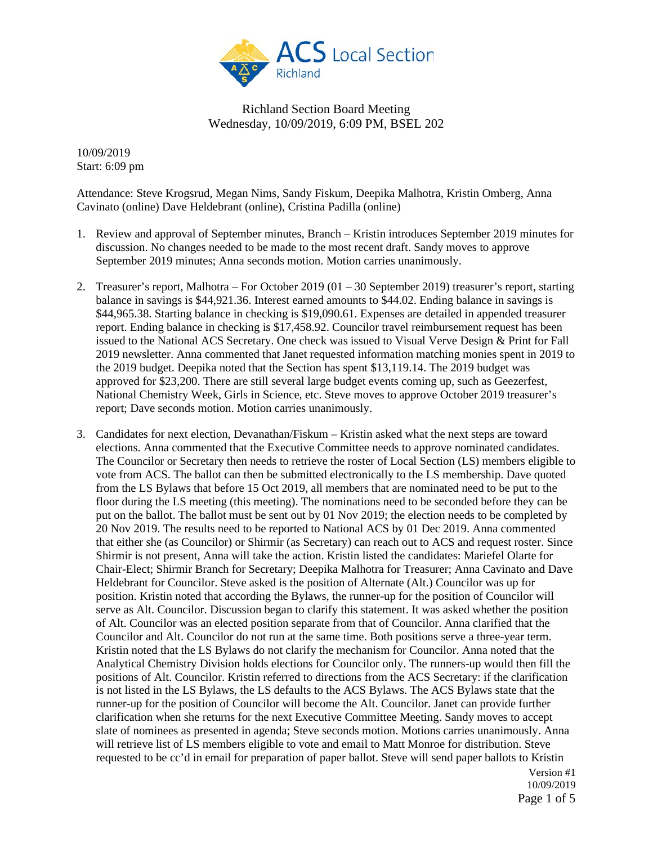

10/09/2019 Start: 6:09 pm

Attendance: Steve Krogsrud, Megan Nims, Sandy Fiskum, Deepika Malhotra, Kristin Omberg, Anna Cavinato (online) Dave Heldebrant (online), Cristina Padilla (online)

- 1. Review and approval of September minutes, Branch Kristin introduces September 2019 minutes for discussion. No changes needed to be made to the most recent draft. Sandy moves to approve September 2019 minutes; Anna seconds motion. Motion carries unanimously.
- 2. Treasurer's report, Malhotra For October 2019 (01 30 September 2019) treasurer's report, starting balance in savings is \$44,921.36. Interest earned amounts to \$44.02. Ending balance in savings is \$44,965.38. Starting balance in checking is \$19,090.61. Expenses are detailed in appended treasurer report. Ending balance in checking is \$17,458.92. Councilor travel reimbursement request has been issued to the National ACS Secretary. One check was issued to Visual Verve Design & Print for Fall 2019 newsletter. Anna commented that Janet requested information matching monies spent in 2019 to the 2019 budget. Deepika noted that the Section has spent \$13,119.14. The 2019 budget was approved for \$23,200. There are still several large budget events coming up, such as Geezerfest, National Chemistry Week, Girls in Science, etc. Steve moves to approve October 2019 treasurer's report; Dave seconds motion. Motion carries unanimously.
- 3. Candidates for next election, Devanathan/Fiskum Kristin asked what the next steps are toward elections. Anna commented that the Executive Committee needs to approve nominated candidates. The Councilor or Secretary then needs to retrieve the roster of Local Section (LS) members eligible to vote from ACS. The ballot can then be submitted electronically to the LS membership. Dave quoted from the LS Bylaws that before 15 Oct 2019, all members that are nominated need to be put to the floor during the LS meeting (this meeting). The nominations need to be seconded before they can be put on the ballot. The ballot must be sent out by 01 Nov 2019; the election needs to be completed by 20 Nov 2019. The results need to be reported to National ACS by 01 Dec 2019. Anna commented that either she (as Councilor) or Shirmir (as Secretary) can reach out to ACS and request roster. Since Shirmir is not present, Anna will take the action. Kristin listed the candidates: Mariefel Olarte for Chair-Elect; Shirmir Branch for Secretary; Deepika Malhotra for Treasurer; Anna Cavinato and Dave Heldebrant for Councilor. Steve asked is the position of Alternate (Alt.) Councilor was up for position. Kristin noted that according the Bylaws, the runner-up for the position of Councilor will serve as Alt. Councilor. Discussion began to clarify this statement. It was asked whether the position of Alt. Councilor was an elected position separate from that of Councilor. Anna clarified that the Councilor and Alt. Councilor do not run at the same time. Both positions serve a three-year term. Kristin noted that the LS Bylaws do not clarify the mechanism for Councilor. Anna noted that the Analytical Chemistry Division holds elections for Councilor only. The runners-up would then fill the positions of Alt. Councilor. Kristin referred to directions from the ACS Secretary: if the clarification is not listed in the LS Bylaws, the LS defaults to the ACS Bylaws. The ACS Bylaws state that the runner-up for the position of Councilor will become the Alt. Councilor. Janet can provide further clarification when she returns for the next Executive Committee Meeting. Sandy moves to accept slate of nominees as presented in agenda; Steve seconds motion. Motions carries unanimously. Anna will retrieve list of LS members eligible to vote and email to Matt Monroe for distribution. Steve requested to be cc'd in email for preparation of paper ballot. Steve will send paper ballots to Kristin

Version #1 10/09/2019 Page 1 of 5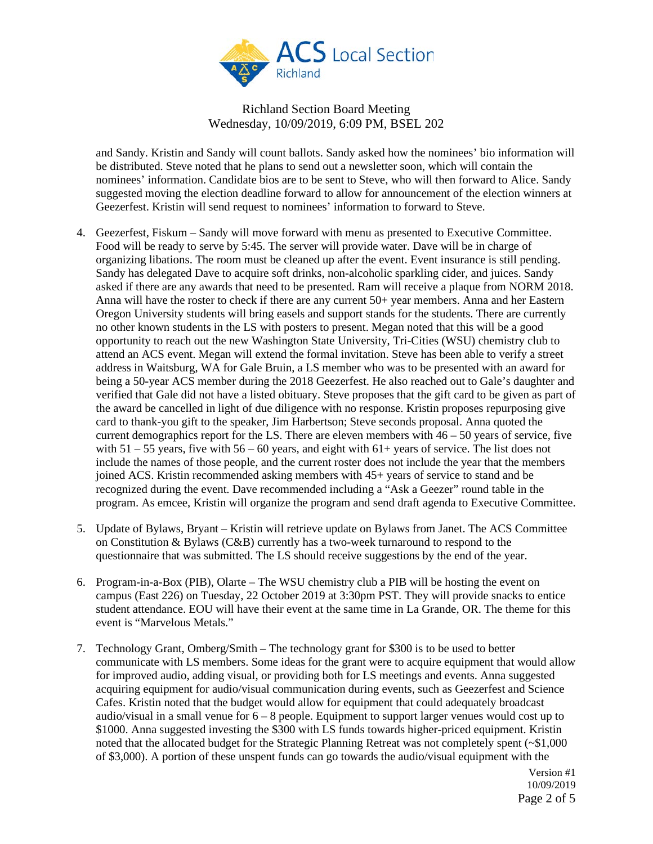

and Sandy. Kristin and Sandy will count ballots. Sandy asked how the nominees' bio information will be distributed. Steve noted that he plans to send out a newsletter soon, which will contain the nominees' information. Candidate bios are to be sent to Steve, who will then forward to Alice. Sandy suggested moving the election deadline forward to allow for announcement of the election winners at Geezerfest. Kristin will send request to nominees' information to forward to Steve.

- 4. Geezerfest, Fiskum Sandy will move forward with menu as presented to Executive Committee. Food will be ready to serve by 5:45. The server will provide water. Dave will be in charge of organizing libations. The room must be cleaned up after the event. Event insurance is still pending. Sandy has delegated Dave to acquire soft drinks, non-alcoholic sparkling cider, and juices. Sandy asked if there are any awards that need to be presented. Ram will receive a plaque from NORM 2018. Anna will have the roster to check if there are any current 50+ year members. Anna and her Eastern Oregon University students will bring easels and support stands for the students. There are currently no other known students in the LS with posters to present. Megan noted that this will be a good opportunity to reach out the new Washington State University, Tri-Cities (WSU) chemistry club to attend an ACS event. Megan will extend the formal invitation. Steve has been able to verify a street address in Waitsburg, WA for Gale Bruin, a LS member who was to be presented with an award for being a 50-year ACS member during the 2018 Geezerfest. He also reached out to Gale's daughter and verified that Gale did not have a listed obituary. Steve proposes that the gift card to be given as part of the award be cancelled in light of due diligence with no response. Kristin proposes repurposing give card to thank-you gift to the speaker, Jim Harbertson; Steve seconds proposal. Anna quoted the current demographics report for the LS. There are eleven members with  $46 - 50$  years of service, five with  $51 - 55$  years, five with  $56 - 60$  years, and eight with  $61 +$  years of service. The list does not include the names of those people, and the current roster does not include the year that the members joined ACS. Kristin recommended asking members with 45+ years of service to stand and be recognized during the event. Dave recommended including a "Ask a Geezer" round table in the program. As emcee, Kristin will organize the program and send draft agenda to Executive Committee.
- 5. Update of Bylaws, Bryant Kristin will retrieve update on Bylaws from Janet. The ACS Committee on Constitution & Bylaws (C&B) currently has a two-week turnaround to respond to the questionnaire that was submitted. The LS should receive suggestions by the end of the year.
- 6. Program-in-a-Box (PIB), Olarte The WSU chemistry club a PIB will be hosting the event on campus (East 226) on Tuesday, 22 October 2019 at 3:30pm PST. They will provide snacks to entice student attendance. EOU will have their event at the same time in La Grande, OR. The theme for this event is "Marvelous Metals."
- 7. Technology Grant, Omberg/Smith The technology grant for \$300 is to be used to better communicate with LS members. Some ideas for the grant were to acquire equipment that would allow for improved audio, adding visual, or providing both for LS meetings and events. Anna suggested acquiring equipment for audio/visual communication during events, such as Geezerfest and Science Cafes. Kristin noted that the budget would allow for equipment that could adequately broadcast audio/visual in a small venue for  $6 - 8$  people. Equipment to support larger venues would cost up to \$1000. Anna suggested investing the \$300 with LS funds towards higher-priced equipment. Kristin noted that the allocated budget for the Strategic Planning Retreat was not completely spent (~\$1,000 of \$3,000). A portion of these unspent funds can go towards the audio/visual equipment with the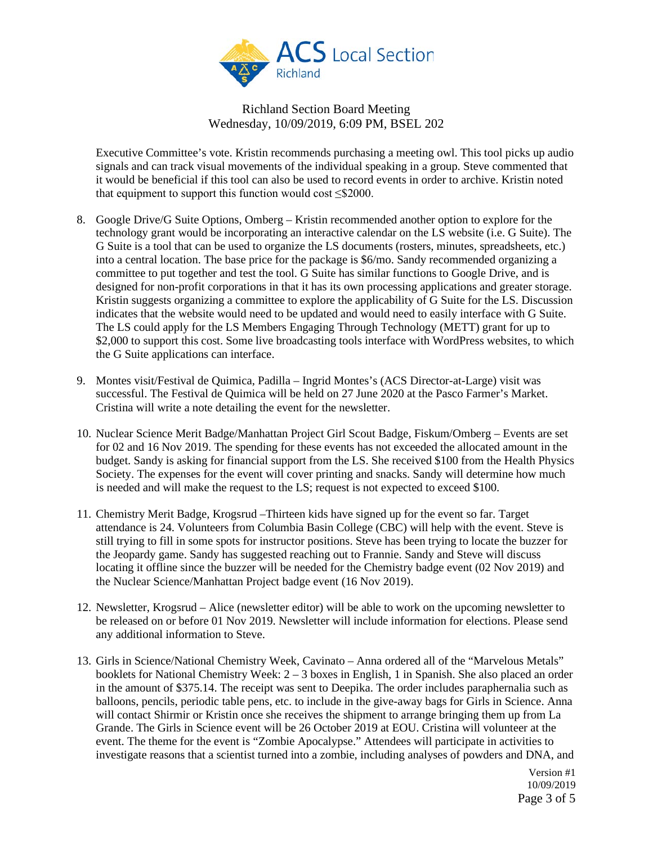

Executive Committee's vote. Kristin recommends purchasing a meeting owl. This tool picks up audio signals and can track visual movements of the individual speaking in a group. Steve commented that it would be beneficial if this tool can also be used to record events in order to archive. Kristin noted that equipment to support this function would cost  $\leq$ \$2000.

- 8. Google Drive/G Suite Options, Omberg Kristin recommended another option to explore for the technology grant would be incorporating an interactive calendar on the LS website (i.e. G Suite). The G Suite is a tool that can be used to organize the LS documents (rosters, minutes, spreadsheets, etc.) into a central location. The base price for the package is \$6/mo. Sandy recommended organizing a committee to put together and test the tool. G Suite has similar functions to Google Drive, and is designed for non-profit corporations in that it has its own processing applications and greater storage. Kristin suggests organizing a committee to explore the applicability of G Suite for the LS. Discussion indicates that the website would need to be updated and would need to easily interface with G Suite. The LS could apply for the LS Members Engaging Through Technology (METT) grant for up to \$2,000 to support this cost. Some live broadcasting tools interface with WordPress websites, to which the G Suite applications can interface.
- 9. Montes visit/Festival de Quimica, Padilla Ingrid Montes's (ACS Director-at-Large) visit was successful. The Festival de Quimica will be held on 27 June 2020 at the Pasco Farmer's Market. Cristina will write a note detailing the event for the newsletter.
- 10. Nuclear Science Merit Badge/Manhattan Project Girl Scout Badge, Fiskum/Omberg Events are set for 02 and 16 Nov 2019. The spending for these events has not exceeded the allocated amount in the budget. Sandy is asking for financial support from the LS. She received \$100 from the Health Physics Society. The expenses for the event will cover printing and snacks. Sandy will determine how much is needed and will make the request to the LS; request is not expected to exceed \$100.
- 11. Chemistry Merit Badge, Krogsrud –Thirteen kids have signed up for the event so far. Target attendance is 24. Volunteers from Columbia Basin College (CBC) will help with the event. Steve is still trying to fill in some spots for instructor positions. Steve has been trying to locate the buzzer for the Jeopardy game. Sandy has suggested reaching out to Frannie. Sandy and Steve will discuss locating it offline since the buzzer will be needed for the Chemistry badge event (02 Nov 2019) and the Nuclear Science/Manhattan Project badge event (16 Nov 2019).
- 12. Newsletter, Krogsrud Alice (newsletter editor) will be able to work on the upcoming newsletter to be released on or before 01 Nov 2019. Newsletter will include information for elections. Please send any additional information to Steve.
- 13. Girls in Science/National Chemistry Week, Cavinato Anna ordered all of the "Marvelous Metals" booklets for National Chemistry Week: 2 – 3 boxes in English, 1 in Spanish. She also placed an order in the amount of \$375.14. The receipt was sent to Deepika. The order includes paraphernalia such as balloons, pencils, periodic table pens, etc. to include in the give-away bags for Girls in Science. Anna will contact Shirmir or Kristin once she receives the shipment to arrange bringing them up from La Grande. The Girls in Science event will be 26 October 2019 at EOU. Cristina will volunteer at the event. The theme for the event is "Zombie Apocalypse." Attendees will participate in activities to investigate reasons that a scientist turned into a zombie, including analyses of powders and DNA, and

Version #1 10/09/2019 Page 3 of 5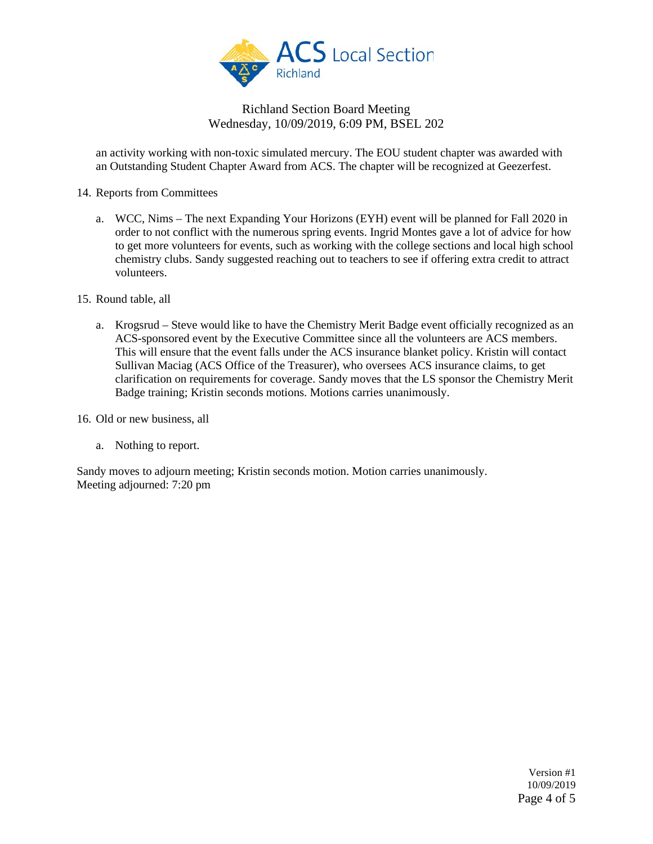

an activity working with non-toxic simulated mercury. The EOU student chapter was awarded with an Outstanding Student Chapter Award from ACS. The chapter will be recognized at Geezerfest.

- 14. Reports from Committees
	- a. WCC, Nims The next Expanding Your Horizons (EYH) event will be planned for Fall 2020 in order to not conflict with the numerous spring events. Ingrid Montes gave a lot of advice for how to get more volunteers for events, such as working with the college sections and local high school chemistry clubs. Sandy suggested reaching out to teachers to see if offering extra credit to attract volunteers.
- 15. Round table, all
	- a. Krogsrud Steve would like to have the Chemistry Merit Badge event officially recognized as an ACS-sponsored event by the Executive Committee since all the volunteers are ACS members. This will ensure that the event falls under the ACS insurance blanket policy. Kristin will contact Sullivan Maciag (ACS Office of the Treasurer), who oversees ACS insurance claims, to get clarification on requirements for coverage. Sandy moves that the LS sponsor the Chemistry Merit Badge training; Kristin seconds motions. Motions carries unanimously.

16. Old or new business, all

a. Nothing to report.

Sandy moves to adjourn meeting; Kristin seconds motion. Motion carries unanimously. Meeting adjourned: 7:20 pm